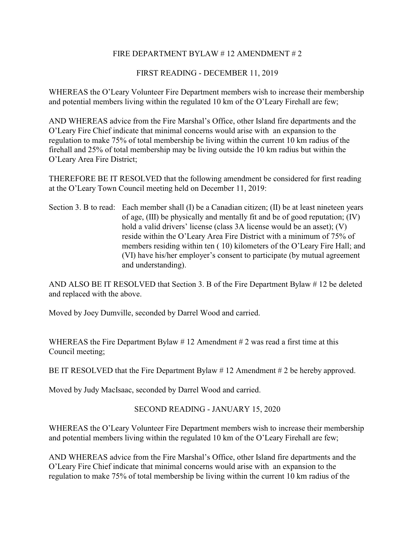## FIRE DEPARTMENT BYLAW # 12 AMENDMENT # 2

## FIRST READING - DECEMBER 11, 2019

WHEREAS the O'Leary Volunteer Fire Department members wish to increase their membership and potential members living within the regulated 10 km of the O'Leary Firehall are few;

AND WHEREAS advice from the Fire Marshal's Office, other Island fire departments and the O'Leary Fire Chief indicate that minimal concerns would arise with an expansion to the regulation to make 75% of total membership be living within the current 10 km radius of the firehall and 25% of total membership may be living outside the 10 km radius but within the O'Leary Area Fire District;

THEREFORE BE IT RESOLVED that the following amendment be considered for first reading at the O'Leary Town Council meeting held on December 11, 2019:

Section 3. B to read: Each member shall  $(I)$  be a Canadian citizen;  $(II)$  be at least nineteen years of age, (III) be physically and mentally fit and be of good reputation; (IV) hold a valid drivers' license (class 3A license would be an asset); (V) reside within the O'Leary Area Fire District with a minimum of 75% of members residing within ten ( 10) kilometers of the O'Leary Fire Hall; and (VI) have his/her employer's consent to participate (by mutual agreement and understanding).

AND ALSO BE IT RESOLVED that Section 3. B of the Fire Department Bylaw  $\#$  12 be deleted and replaced with the above.

Moved by Joey Dumville, seconded by Darrel Wood and carried.

WHEREAS the Fire Department Bylaw #12 Amendment #2 was read a first time at this Council meeting;

BE IT RESOLVED that the Fire Department Bylaw #12 Amendment #2 be hereby approved.

Moved by Judy MacIsaac, seconded by Darrel Wood and carried.

## SECOND READING - JANUARY 15, 2020

WHEREAS the O'Leary Volunteer Fire Department members wish to increase their membership and potential members living within the regulated 10 km of the O'Leary Firehall are few;

AND WHEREAS advice from the Fire Marshal's Office, other Island fire departments and the O'Leary Fire Chief indicate that minimal concerns would arise with an expansion to the regulation to make 75% of total membership be living within the current 10 km radius of the